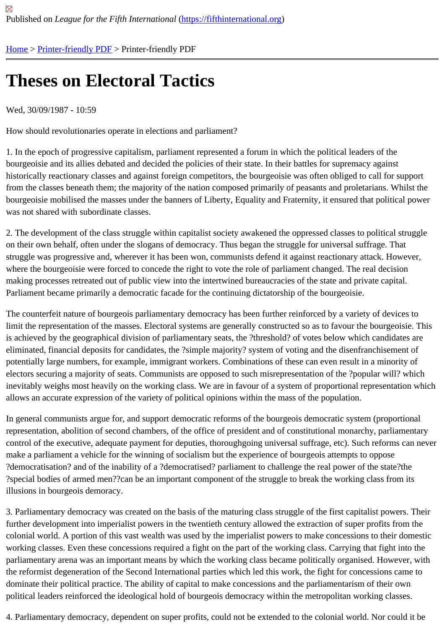## [The](https://fifthinternational.org/)[ses on Ele](https://fifthinternational.org/printpdf)ctoral Tactics

Wed, 30/09/1987 - 10:59

How should revolutionaries operate in elections and parliament?

1. In the epoch of progressive capitalism, parliament represented a forum in which the political leaders of the bourgeoisie and its allies debated and decided the policies of their state. In their battles for supremacy against historically reactionary classes and against foreign competitors, the bourgeoisie was often obliged to call for suppo from the classes beneath them; the majority of the nation composed primarily of peasants and proletarians. Whilst bourgeoisie mobilised the masses under the banners of Liberty, Equality and Fraternity, it ensured that political po was not shared with subordinate classes.

2. The development of the class struggle within capitalist society awakened the oppressed classes to political strug on their own behalf, often under the slogans of democracy. Thus began the struggle for universal suffrage. That struggle was progressive and, wherever it has been won, communists defend it against reactionary attack. Howev where the bourgeoisie were forced to concede the right to vote the role of parliament changed. The real decision making processes retreated out of public view into the intertwined bureaucracies of the state and private capital. Parliament became primarily a democratic facade for the continuing dictatorship of the bourgeoisie.

The counterfeit nature of bourgeois parliamentary democracy has been further reinforced by a variety of devices to limit the representation of the masses. Electoral systems are generally constructed so as to favour the bourgeoisie is achieved by the geographical division of parliamentary seats, the ?threshold? of votes below which candidates a eliminated, financial deposits for candidates, the ?simple majority? system of voting and the disenfranchisement of potentially large numbers, for example, immigrant workers. Combinations of these can even result in a minority of electors securing a majority of seats. Communists are opposed to such misrepresentation of the ?popular will? wh inevitably weighs most heavily on the working class. We are in favour of a system of proportional representation w allows an accurate expression of the variety of political opinions within the mass of the population.

In general communists argue for, and support democratic reforms of the bourgeois democratic system (proportiona representation, abolition of second chambers, of the office of president and of constitutional monarchy, parliament control of the executive, adequate payment for deputies, thoroughgoing universal suffrage, etc). Such reforms can make a parliament a vehicle for the winning of socialism but the experience of bourgeois attempts to oppose ?democratisation? and of the inability of a ?democratised? parliament to challenge the real power of the state?the ?special bodies of armed men??can be an important component of the struggle to break the working class from its illusions in bourgeois demoracy.

3. Parliamentary democracy was created on the basis of the maturing class struggle of the first capitalist powers. T further development into imperialist powers in the twentieth century allowed the extraction of super profits from the colonial world. A portion of this vast wealth was used by the imperialist powers to make concessions to their dome working classes. Even these concessions required a fight on the part of the working class. Carrying that fight into t parliamentary arena was an important means by which the working class became politically organised. However, w the reformist degeneration of the Second International parties which led this work, the fight for concessions came dominate their political practice. The ability of capital to make concessions and the parliamentarism of their own political leaders reinforced the ideological hold of bourgeois democracy within the metropolitan working classes.

4. Parliamentary democracy, dependent on super profits, could not be extended to the colonial world. Nor could it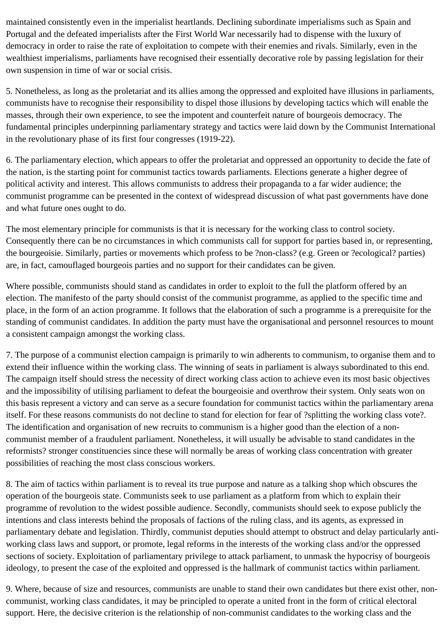maintained consistently even in the imperialist heartlands. Declining subordinate imperialisms such as Spain and Portugal and the defeated imperialists after the First World War necessarily had to dispense with the luxury of democracy in order to raise the rate of exploitation to compete with their enemies and rivals. Similarly, even in the wealthiest imperialisms, parliaments have recognised their essentially decorative role by passing legislation for their own suspension in time of war or social crisis.

5. Nonetheless, as long as the proletariat and its allies among the oppressed and exploited have illusions in parliaments, communists have to recognise their responsibility to dispel those illusions by developing tactics which will enable the masses, through their own experience, to see the impotent and counterfeit nature of bourgeois democracy. The fundamental principles underpinning parliamentary strategy and tactics were laid down by the Communist International in the revolutionary phase of its first four congresses (1919-22).

6. The parliamentary election, which appears to offer the proletariat and oppressed an opportunity to decide the fate of the nation, is the starting point for communist tactics towards parliaments. Elections generate a higher degree of political activity and interest. This allows communists to address their propaganda to a far wider audience; the communist programme can be presented in the context of widespread discussion of what past governments have done and what future ones ought to do.

The most elementary principle for communists is that it is necessary for the working class to control society. Consequently there can be no circumstances in which communists call for support for parties based in, or representing, the bourgeoisie. Similarly, parties or movements which profess to be ?non-class? (e.g. Green or ?ecological? parties) are, in fact, camouflaged bourgeois parties and no support for their candidates can be given.

Where possible, communists should stand as candidates in order to exploit to the full the platform offered by an election. The manifesto of the party should consist of the communist programme, as applied to the specific time and place, in the form of an action programme. It follows that the elaboration of such a programme is a prerequisite for the standing of communist candidates. In addition the party must have the organisational and personnel resources to mount a consistent campaign amongst the working class.

7. The purpose of a communist election campaign is primarily to win adherents to communism, to organise them and to extend their influence within the working class. The winning of seats in parliament is always subordinated to this end. The campaign itself should stress the necessity of direct working class action to achieve even its most basic objectives and the impossibility of utilising parliament to defeat the bourgeoisie and overthrow their system. Only seats won on this basis represent a victory and can serve as a secure foundation for communist tactics within the parliamentary arena itself. For these reasons communists do not decline to stand for election for fear of ?splitting the working class vote?. The identification and organisation of new recruits to communism is a higher good than the election of a noncommunist member of a fraudulent parliament. Nonetheless, it will usually be advisable to stand candidates in the reformists? stronger constituencies since these will normally be areas of working class concentration with greater possibilities of reaching the most class conscious workers.

8. The aim of tactics within parliament is to reveal its true purpose and nature as a talking shop which obscures the operation of the bourgeois state. Communists seek to use parliament as a platform from which to explain their programme of revolution to the widest possible audience. Secondly, communists should seek to expose publicly the intentions and class interests behind the proposals of factions of the ruling class, and its agents, as expressed in parliamentary debate and legislation. Thirdly, communist deputies should attempt to obstruct and delay particularly antiworking class laws and support, or promote, legal reforms in the interests of the working class and/or the oppressed sections of society. Exploitation of parliamentary privilege to attack parliament, to unmask the hypocrisy of bourgeois ideology, to present the case of the exploited and oppressed is the hallmark of communist tactics within parliament.

9. Where, because of size and resources, communists are unable to stand their own candidates but there exist other, noncommunist, working class candidates, it may be principled to operate a united front in the form of critical electoral support. Here, the decisive criterion is the relationship of non-communist candidates to the working class and the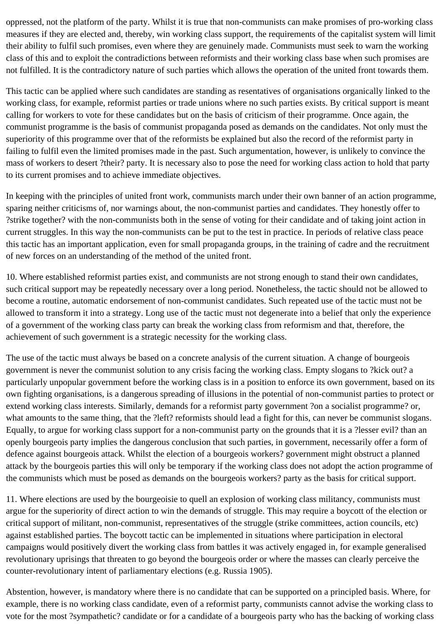oppressed, not the platform of the party. Whilst it is true that non-communists can make promises of pro-working class measures if they are elected and, thereby, win working class support, the requirements of the capitalist system will limit their ability to fulfil such promises, even where they are genuinely made. Communists must seek to warn the working class of this and to exploit the contradictions between reformists and their working class base when such promises are not fulfilled. It is the contradictory nature of such parties which allows the operation of the united front towards them.

This tactic can be applied where such candidates are standing as resentatives of organisations organically linked to the working class, for example, reformist parties or trade unions where no such parties exists. By critical support is meant calling for workers to vote for these candidates but on the basis of criticism of their programme. Once again, the communist programme is the basis of communist propaganda posed as demands on the candidates. Not only must the superiority of this programme over that of the reformists be explained but also the record of the reformist party in failing to fulfil even the limited promises made in the past. Such argumentation, however, is unlikely to convince the mass of workers to desert ?their? party. It is necessary also to pose the need for working class action to hold that party to its current promises and to achieve immediate objectives.

In keeping with the principles of united front work, communists march under their own banner of an action programme, sparing neither criticisms of, nor warnings about, the non-communist parties and candidates. They honestly offer to ?strike together? with the non-communists both in the sense of voting for their candidate and of taking joint action in current struggles. In this way the non-communists can be put to the test in practice. In periods of relative class peace this tactic has an important application, even for small propaganda groups, in the training of cadre and the recruitment of new forces on an understanding of the method of the united front.

10. Where established reformist parties exist, and communists are not strong enough to stand their own candidates, such critical support may be repeatedly necessary over a long period. Nonetheless, the tactic should not be allowed to become a routine, automatic endorsement of non-communist candidates. Such repeated use of the tactic must not be allowed to transform it into a strategy. Long use of the tactic must not degenerate into a belief that only the experience of a government of the working class party can break the working class from reformism and that, therefore, the achievement of such government is a strategic necessity for the working class.

The use of the tactic must always be based on a concrete analysis of the current situation. A change of bourgeois government is never the communist solution to any crisis facing the working class. Empty slogans to ?kick out? a particularly unpopular government before the working class is in a position to enforce its own government, based on its own fighting organisations, is a dangerous spreading of illusions in the potential of non-communist parties to protect or extend working class interests. Similarly, demands for a reformist party government ?on a socialist programme? or, what amounts to the same thing, that the ?left? reformists should lead a fight for this, can never be communist slogans. Equally, to argue for working class support for a non-communist party on the grounds that it is a ?lesser evil? than an openly bourgeois party implies the dangerous conclusion that such parties, in government, necessarily offer a form of defence against bourgeois attack. Whilst the election of a bourgeois workers? government might obstruct a planned attack by the bourgeois parties this will only be temporary if the working class does not adopt the action programme of the communists which must be posed as demands on the bourgeois workers? party as the basis for critical support.

11. Where elections are used by the bourgeoisie to quell an explosion of working class militancy, communists must argue for the superiority of direct action to win the demands of struggle. This may require a boycott of the election or critical support of militant, non-communist, representatives of the struggle (strike committees, action councils, etc) against established parties. The boycott tactic can be implemented in situations where participation in electoral campaigns would positively divert the working class from battles it was actively engaged in, for example generalised revolutionary uprisings that threaten to go beyond the bourgeois order or where the masses can clearly perceive the counter-revolutionary intent of parliamentary elections (e.g. Russia 1905).

Abstention, however, is mandatory where there is no candidate that can be supported on a principled basis. Where, for example, there is no working class candidate, even of a reformist party, communists cannot advise the working class to vote for the most ?sympathetic? candidate or for a candidate of a bourgeois party who has the backing of working class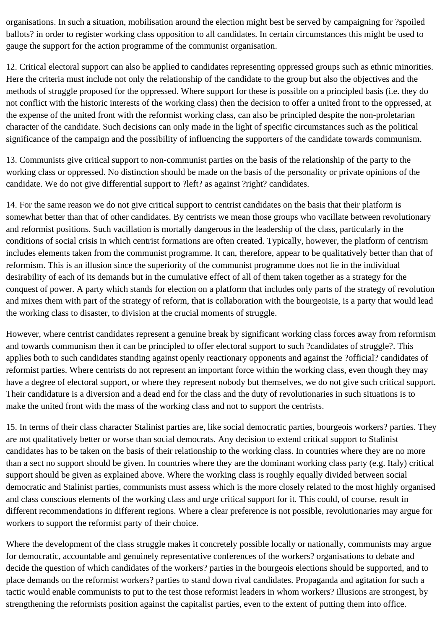organisations. In such a situation, mobilisation around the election might best be served by campaigning for ?spoiled ballots? in order to register working class opposition to all candidates. In certain circumstances this might be used to gauge the support for the action programme of the communist organisation.

12. Critical electoral support can also be applied to candidates representing oppressed groups such as ethnic minorities. Here the criteria must include not only the relationship of the candidate to the group but also the objectives and the methods of struggle proposed for the oppressed. Where support for these is possible on a principled basis (i.e. they do not conflict with the historic interests of the working class) then the decision to offer a united front to the oppressed, at the expense of the united front with the reformist working class, can also be principled despite the non-proletarian character of the candidate. Such decisions can only made in the light of specific circumstances such as the political significance of the campaign and the possibility of influencing the supporters of the candidate towards communism.

13. Communists give critical support to non-communist parties on the basis of the relationship of the party to the working class or oppressed. No distinction should be made on the basis of the personality or private opinions of the candidate. We do not give differential support to ?left? as against ?right? candidates.

14. For the same reason we do not give critical support to centrist candidates on the basis that their platform is somewhat better than that of other candidates. By centrists we mean those groups who vacillate between revolutionary and reformist positions. Such vacillation is mortally dangerous in the leadership of the class, particularly in the conditions of social crisis in which centrist formations are often created. Typically, however, the platform of centrism includes elements taken from the communist programme. It can, therefore, appear to be qualitatively better than that of reformism. This is an illusion since the superiority of the communist programme does not lie in the individual desirability of each of its demands but in the cumulative effect of all of them taken together as a strategy for the conquest of power. A party which stands for election on a platform that includes only parts of the strategy of revolution and mixes them with part of the strategy of reform, that is collaboration with the bourgeoisie, is a party that would lead the working class to disaster, to division at the crucial moments of struggle.

However, where centrist candidates represent a genuine break by significant working class forces away from reformism and towards communism then it can be principled to offer electoral support to such ?candidates of struggle?. This applies both to such candidates standing against openly reactionary opponents and against the ?official? candidates of reformist parties. Where centrists do not represent an important force within the working class, even though they may have a degree of electoral support, or where they represent nobody but themselves, we do not give such critical support. Their candidature is a diversion and a dead end for the class and the duty of revolutionaries in such situations is to make the united front with the mass of the working class and not to support the centrists.

15. In terms of their class character Stalinist parties are, like social democratic parties, bourgeois workers? parties. They are not qualitatively better or worse than social democrats. Any decision to extend critical support to Stalinist candidates has to be taken on the basis of their relationship to the working class. In countries where they are no more than a sect no support should be given. In countries where they are the dominant working class party (e.g. Italy) critical support should be given as explained above. Where the working class is roughly equally divided between social democratic and Stalinist parties, communists must assess which is the more closely related to the most highly organised and class conscious elements of the working class and urge critical support for it. This could, of course, result in different recommendations in different regions. Where a clear preference is not possible, revolutionaries may argue for workers to support the reformist party of their choice.

Where the development of the class struggle makes it concretely possible locally or nationally, communists may argue for democratic, accountable and genuinely representative conferences of the workers? organisations to debate and decide the question of which candidates of the workers? parties in the bourgeois elections should be supported, and to place demands on the reformist workers? parties to stand down rival candidates. Propaganda and agitation for such a tactic would enable communists to put to the test those reformist leaders in whom workers? illusions are strongest, by strengthening the reformists position against the capitalist parties, even to the extent of putting them into office.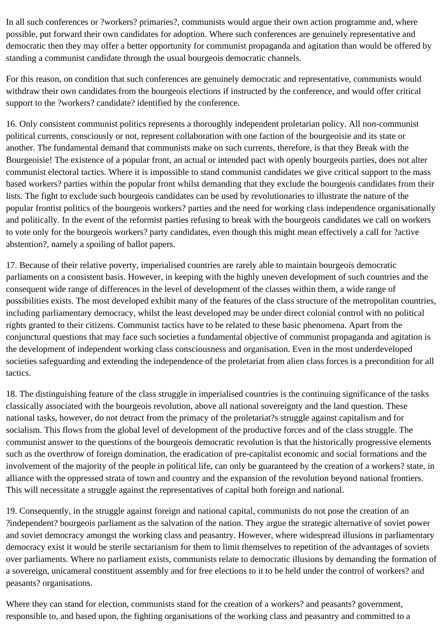In all such conferences or ?workers? primaries?, communists would argue their own action programme and, where possible, put forward their own candidates for adoption. Where such conferences are genuinely representative and democratic then they may offer a better opportunity for communist propaganda and agitation than would be offered by standing a communist candidate through the usual bourgeois democratic channels.

For this reason, on condition that such conferences are genuinely democratic and representative, communists would withdraw their own candidates from the bourgeois elections if instructed by the conference, and would offer critical support to the ?workers? candidate? identified by the conference.

16. Only consistent communist politics represents a thoroughly independent proletarian policy. All non-communist political currents, consciously or not, represent collaboration with one faction of the bourgeoisie and its state or another. The fundamental demand that communists make on such currents, therefore, is that they Break with the Bourgeoisie! The existence of a popular front, an actual or intended pact with openly bourgeois parties, does not alter communist electoral tactics. Where it is impossible to stand communist candidates we give critical support to the mass based workers? parties within the popular front whilst demanding that they exclude the bourgeois candidates from their lists. The fight to exclude such bourgeois candidates can be used by revolutionaries to illustrate the nature of the popular frontist politics of the bourgeois workers? parties and the need for working class independence organisationally and politically. In the event of the reformist parties refusing to break with the bourgeois candidates we call on workers to vote only for the bourgeois workers? party candidates, even though this might mean effectively a call for ?active abstention?, namely a spoiling of ballot papers.

17. Because of their relative poverty, imperialised countries are rarely able to maintain bourgeois democratic parliaments on a consistent basis. However, in keeping with the highly uneven development of such countries and the consequent wide range of differences in the level of development of the classes within them, a wide range of possibilities exists. The most developed exhibit many of the features of the class structure of the metropolitan countries, including parliamentary democracy, whilst the least developed may be under direct colonial control with no political rights granted to their citizens. Communist tactics have to be related to these basic phenomena. Apart from the conjunctural questions that may face such societies a fundamental objective of communist propaganda and agitation is the development of independent working class consciousness and organisation. Even in the most underdeveloped societies safeguarding and extending the independence of the proletariat from alien class forces is a precondition for all tactics.

18. The distinguishing feature of the class struggle in imperialised countries is the continuing significance of the tasks classically associated with the bourgeois revolution, above all national sovereignty and the land question. These national tasks, however, do not detract from the primacy of the proletariat?s struggle against capitalism and for socialism. This flows from the global level of development of the productive forces and of the class struggle. The communist answer to the questions of the bourgeois democratic revolution is that the historically progressive elements such as the overthrow of foreign domination, the eradication of pre-capitalist economic and social formations and the involvement of the majority of the people in political life, can only be guaranteed by the creation of a workers? state, in alliance with the oppressed strata of town and country and the expansion of the revolution beyond national frontiers. This will necessitate a struggle against the representatives of capital both foreign and national.

19. Consequently, in the struggle against foreign and national capital, communists do not pose the creation of an ?independent? bourgeois parliament as the salvation of the nation. They argue the strategic alternative of soviet power and soviet democracy amongst the working class and peasantry. However, where widespread illusions in parliamentary democracy exist it would be sterile sectarianism for them to limit themselves to repetition of the advantages of soviets over parliaments. Where no parliament exists, communists relate to democratic illusions by demanding the formation of a sovereign, unicameral constituent assembly and for free elections to it to be held under the control of workers? and peasants? organisations.

Where they can stand for election, communists stand for the creation of a workers? and peasants? government, responsible to, and based upon, the fighting organisations of the working class and peasantry and committed to a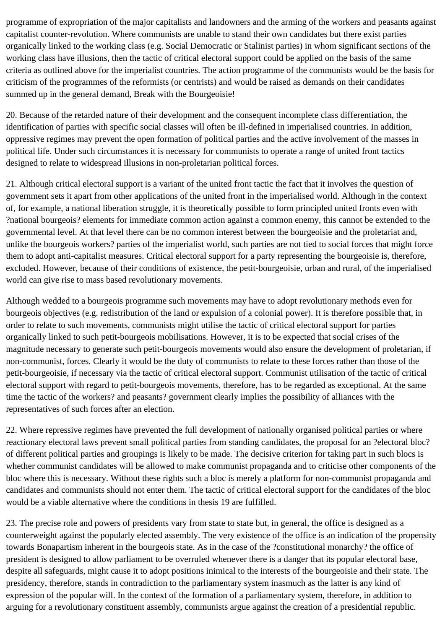programme of expropriation of the major capitalists and landowners and the arming of the workers and peasants against capitalist counter-revolution. Where communists are unable to stand their own candidates but there exist parties organically linked to the working class (e.g. Social Democratic or Stalinist parties) in whom significant sections of the working class have illusions, then the tactic of critical electoral support could be applied on the basis of the same criteria as outlined above for the imperialist countries. The action programme of the communists would be the basis for criticism of the programmes of the reformists (or centrists) and would be raised as demands on their candidates summed up in the general demand, Break with the Bourgeoisie!

20. Because of the retarded nature of their development and the consequent incomplete class differentiation, the identification of parties with specific social classes will often be ill-defined in imperialised countries. In addition, oppressive regimes may prevent the open formation of political parties and the active involvement of the masses in political life. Under such circumstances it is necessary for communists to operate a range of united front tactics designed to relate to widespread illusions in non-proletarian political forces.

21. Although critical electoral support is a variant of the united front tactic the fact that it involves the question of government sets it apart from other applications of the united front in the imperialised world. Although in the context of, for example, a national liberation struggle, it is theoretically possible to form principled united fronts even with ?national bourgeois? elements for immediate common action against a common enemy, this cannot be extended to the governmental level. At that level there can be no common interest between the bourgeoisie and the proletariat and, unlike the bourgeois workers? parties of the imperialist world, such parties are not tied to social forces that might force them to adopt anti-capitalist measures. Critical electoral support for a party representing the bourgeoisie is, therefore, excluded. However, because of their conditions of existence, the petit-bourgeoisie, urban and rural, of the imperialised world can give rise to mass based revolutionary movements.

Although wedded to a bourgeois programme such movements may have to adopt revolutionary methods even for bourgeois objectives (e.g. redistribution of the land or expulsion of a colonial power). It is therefore possible that, in order to relate to such movements, communists might utilise the tactic of critical electoral support for parties organically linked to such petit-bourgeois mobilisations. However, it is to be expected that social crises of the magnitude necessary to generate such petit-bourgeois movements would also ensure the development of proletarian, if non-communist, forces. Clearly it would be the duty of communists to relate to these forces rather than those of the petit-bourgeoisie, if necessary via the tactic of critical electoral support. Communist utilisation of the tactic of critical electoral support with regard to petit-bourgeois movements, therefore, has to be regarded as exceptional. At the same time the tactic of the workers? and peasants? government clearly implies the possibility of alliances with the representatives of such forces after an election.

22. Where repressive regimes have prevented the full development of nationally organised political parties or where reactionary electoral laws prevent small political parties from standing candidates, the proposal for an ?electoral bloc? of different political parties and groupings is likely to be made. The decisive criterion for taking part in such blocs is whether communist candidates will be allowed to make communist propaganda and to criticise other components of the bloc where this is necessary. Without these rights such a bloc is merely a platform for non-communist propaganda and candidates and communists should not enter them. The tactic of critical electoral support for the candidates of the bloc would be a viable alternative where the conditions in thesis 19 are fulfilled.

23. The precise role and powers of presidents vary from state to state but, in general, the office is designed as a counterweight against the popularly elected assembly. The very existence of the office is an indication of the propensity towards Bonapartism inherent in the bourgeois state. As in the case of the ?constitutional monarchy? the office of president is designed to allow parliament to be overruled whenever there is a danger that its popular electoral base, despite all safeguards, might cause it to adopt positions inimical to the interests of the bourgeoisie and their state. The presidency, therefore, stands in contradiction to the parliamentary system inasmuch as the latter is any kind of expression of the popular will. In the context of the formation of a parliamentary system, therefore, in addition to arguing for a revolutionary constituent assembly, communists argue against the creation of a presidential republic.